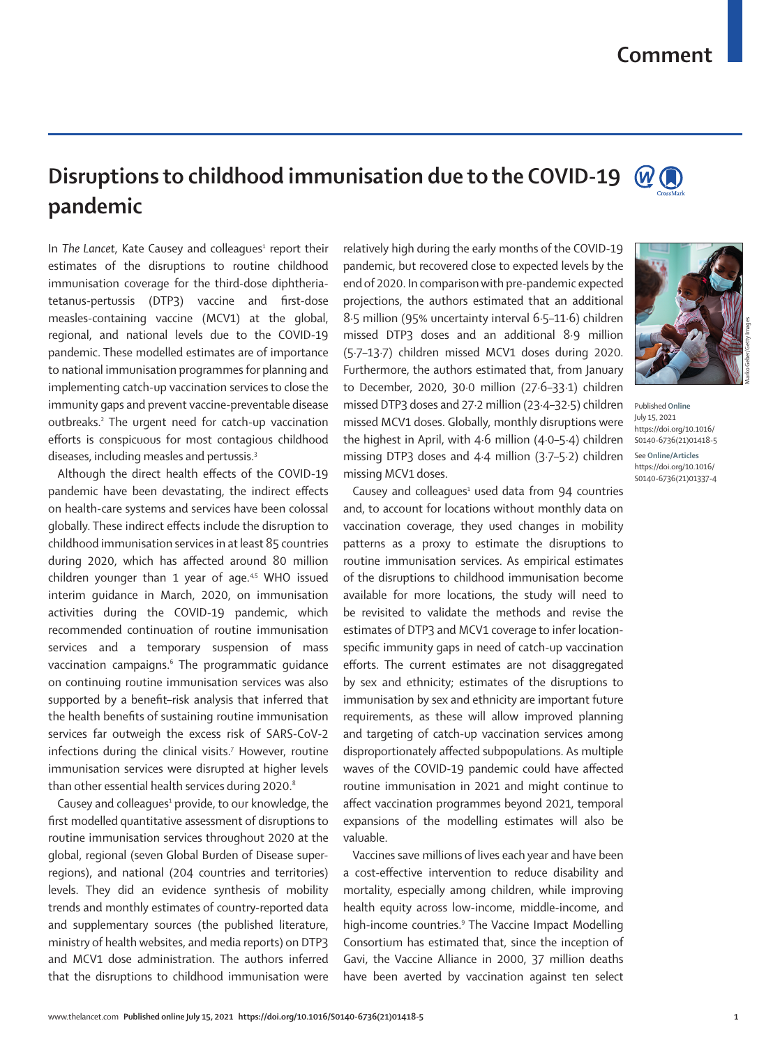## **Disruptions to childhood immunisation due to the COVID-19**   $W$  ( **pandemic**

In The Lancet, Kate Causey and colleagues<sup>1</sup> report their estimates of the disruptions to routine childhood immunisation coverage for the third-dose diphtheriatetanus-pertussis (DTP3) vaccine and first-dose measles-containing vaccine (MCV1) at the global, regional, and national levels due to the COVID-19 pandemic. These modelled estimates are of importance to national immunisation programmes for planning and implementing catch-up vaccination services to close the immunity gaps and prevent vaccine-preventable disease outbreaks.<sup>2</sup> The urgent need for catch-up vaccination efforts is conspicuous for most contagious childhood diseases, including measles and pertussis.3

Although the direct health effects of the COVID-19 pandemic have been devastating, the indirect effects on health-care systems and services have been colossal globally. These indirect effects include the disruption to childhood immunisation services in at least 85 countries during 2020, which has affected around 80 million children younger than 1 year of age. $4.5$  WHO issued interim guidance in March, 2020, on immunisation activities during the COVID-19 pandemic, which recommended continuation of routine immunisation services and a temporary suspension of mass vaccination campaigns.<sup>6</sup> The programmatic guidance on continuing routine immunisation services was also supported by a benefit–risk analysis that inferred that the health benefits of sustaining routine immunisation services far outweigh the excess risk of SARS-CoV-2 infections during the clinical visits.7 However, routine immunisation services were disrupted at higher levels than other essential health services during 2020.<sup>8</sup>

Causey and colleagues<sup>1</sup> provide, to our knowledge, the first modelled quantitative assessment of disruptions to routine immunisation services throughout 2020 at the global, regional (seven Global Burden of Disease superregions), and national (204 countries and territories) levels. They did an evidence synthesis of mobility trends and monthly estimates of country-reported data and supplementary sources (the published literature, ministry of health websites, and media reports) on DTP3 and MCV1 dose administration. The authors inferred that the disruptions to childhood immunisation were relatively high during the early months of the COVID-19 pandemic, but recovered close to expected levels by the end of 2020. In comparison with pre-pandemic expected projections, the authors estimated that an additional 8·5 million (95% uncertainty interval 6·5–11·6) children missed DTP3 doses and an additional 8·9 million (5·7–13·7) children missed MCV1 doses during 2020. Furthermore, the authors estimated that, from January to December, 2020, 30·0 million (27·6–33·1) children missed DTP3 doses and 27·2 million (23·4–32·5) children missed MCV1 doses. Globally, monthly disruptions were the highest in April, with 4·6 million (4·0–5·4) children missing DTP3 doses and 4·4 million (3·7–5·2) children missing MCV1 doses.

Causey and colleagues $1$  used data from 94 countries and, to account for locations without monthly data on vaccination coverage, they used changes in mobility patterns as a proxy to estimate the disruptions to routine immunisation services. As empirical estimates of the disruptions to childhood immunisation become available for more locations, the study will need to be revisited to validate the methods and revise the estimates of DTP3 and MCV1 coverage to infer locationspecific immunity gaps in need of catch-up vaccination efforts. The current estimates are not disaggregated by sex and ethnicity; estimates of the disruptions to immunisation by sex and ethnicity are important future requirements, as these will allow improved planning and targeting of catch-up vaccination services among disproportionately affected subpopulations. As multiple waves of the COVID-19 pandemic could have affected routine immunisation in 2021 and might continue to affect vaccination programmes beyond 2021, temporal expansions of the modelling estimates will also be valuable.

Vaccines save millions of lives each year and have been a cost-effective intervention to reduce disability and mortality, especially among children, while improving health equity across low-income, middle-income, and high-income countries.<sup>9</sup> The Vaccine Impact Modelling Consortium has estimated that, since the inception of Gavi, the Vaccine Alliance in 2000, 37 million deaths have been averted by vaccination against ten select



Published **Online** July 15, 2021 https://doi.org/10.1016/ S0140-6736(21)01418-5 See **Online/Articles** https://doi.org/10.1016/ S0140-6736(21)01337-4